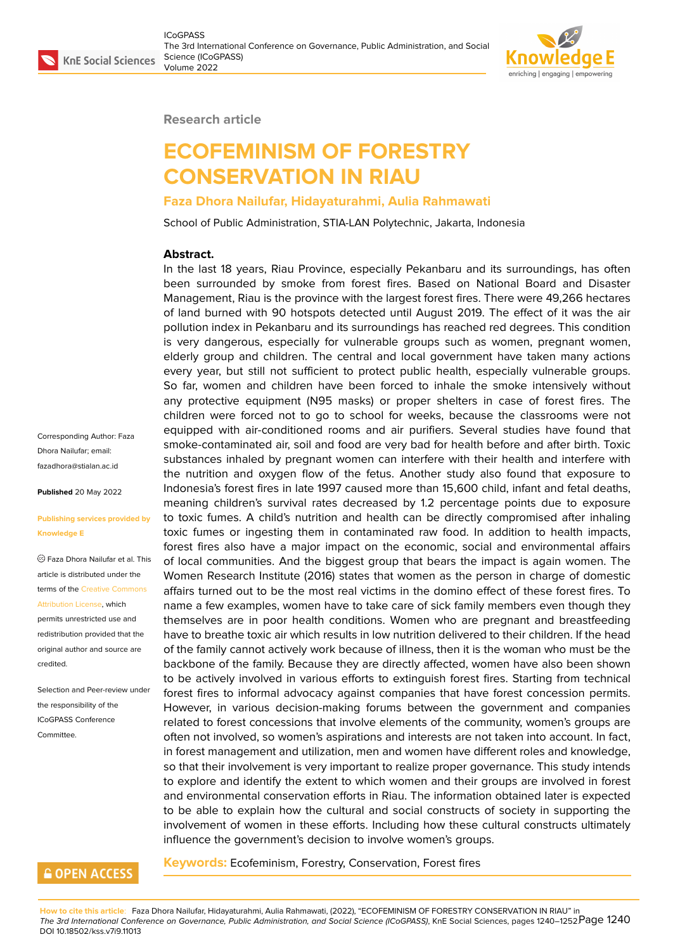

**Research article**

# **ECOFEMINISM OF FORESTRY CONSERVATION IN RIAU**

#### **Faza Dhora Nailufar, Hidayaturahmi, Aulia Rahmawati**

School of Public Administration, STIA-LAN Polytechnic, Jakarta, Indonesia

#### **Abstract.**

In the last 18 years, Riau Province, especially Pekanbaru and its surroundings, has often been surrounded by smoke from forest fires. Based on National Board and Disaster Management, Riau is the province with the largest forest fires. There were 49,266 hectares of land burned with 90 hotspots detected until August 2019. The effect of it was the air pollution index in Pekanbaru and its surroundings has reached red degrees. This condition is very dangerous, especially for vulnerable groups such as women, pregnant women, elderly group and children. The central and local government have taken many actions every year, but still not sufficient to protect public health, especially vulnerable groups. So far, women and children have been forced to inhale the smoke intensively without any protective equipment (N95 masks) or proper shelters in case of forest fires. The children were forced not to go to school for weeks, because the classrooms were not equipped with air-conditioned rooms and air purifiers. Several studies have found that smoke-contaminated air, soil and food are very bad for health before and after birth. Toxic substances inhaled by pregnant women can interfere with their health and interfere with the nutrition and oxygen flow of the fetus. Another study also found that exposure to Indonesia's forest fires in late 1997 caused more than 15,600 child, infant and fetal deaths, meaning children's survival rates decreased by 1.2 percentage points due to exposure to toxic fumes. A child's nutrition and health can be directly compromised after inhaling toxic fumes or ingesting them in contaminated raw food. In addition to health impacts, forest fires also have a major impact on the economic, social and environmental affairs of local communities. And the biggest group that bears the impact is again women. The Women Research Institute (2016) states that women as the person in charge of domestic affairs turned out to be the most real victims in the domino effect of these forest fires. To name a few examples, women have to take care of sick family members even though they themselves are in poor health conditions. Women who are pregnant and breastfeeding have to breathe toxic air which results in low nutrition delivered to their children. If the head of the family cannot actively work because of illness, then it is the woman who must be the backbone of the family. Because they are directly affected, women have also been shown to be actively involved in various efforts to extinguish forest fires. Starting from technical forest fires to informal advocacy against companies that have forest concession permits. However, in various decision-making forums between the government and companies related to forest concessions that involve elements of the community, women's groups are often not involved, so women's aspirations and interests are not taken into account. In fact, in forest management and utilization, men and women have different roles and knowledge, so that their involvement is very important to realize proper governance. This study intends to explore and identify the extent to which women and their groups are involved in forest and environmental conservation efforts in Riau. The information obtained later is expected to be able to explain how the cultural and social constructs of society in supporting the involvement of women in these efforts. Including how these cultural constructs ultimately influence the government's decision to involve women's groups.

#### Corresponding Author: Faza Dhora Nailufar; email: fazadhora@stialan.ac.id

**Published** 20 May 2022

#### **[Publishing services pro](mailto:fazadhora@stialan.ac.id)vided by Knowledge E**

Faza Dhora Nailufar et al. This article is distributed under the terms of the Creative Commons Attribution License, which

permits unrestricted use and redistribution provided that the original auth[or and source are](https://creativecommons.org/licenses/by/4.0/) [credited.](https://creativecommons.org/licenses/by/4.0/)

Selection and Peer-review under the responsibility of the ICoGPASS Conference **Committee** 

#### **GOPEN ACCESS**

**Keywords:** Ecofeminism, Forestry, Conservation, Forest fires

**How to cite this article**: Faza Dhora Nailufar, Hidayaturahmi, Aulia Rahmawati, (2022), "ECOFEMINISM OF FORESTRY CONSERVATION IN RIAU" in The 3rd International Conference on Governance, Public Administration, and Social Science (ICoGPASS), KnE Social Sciences, pages 1240–1252 $P$ a ${\bf q}$ e  $1240$ DOI 10.18502/kss.v7i9.11013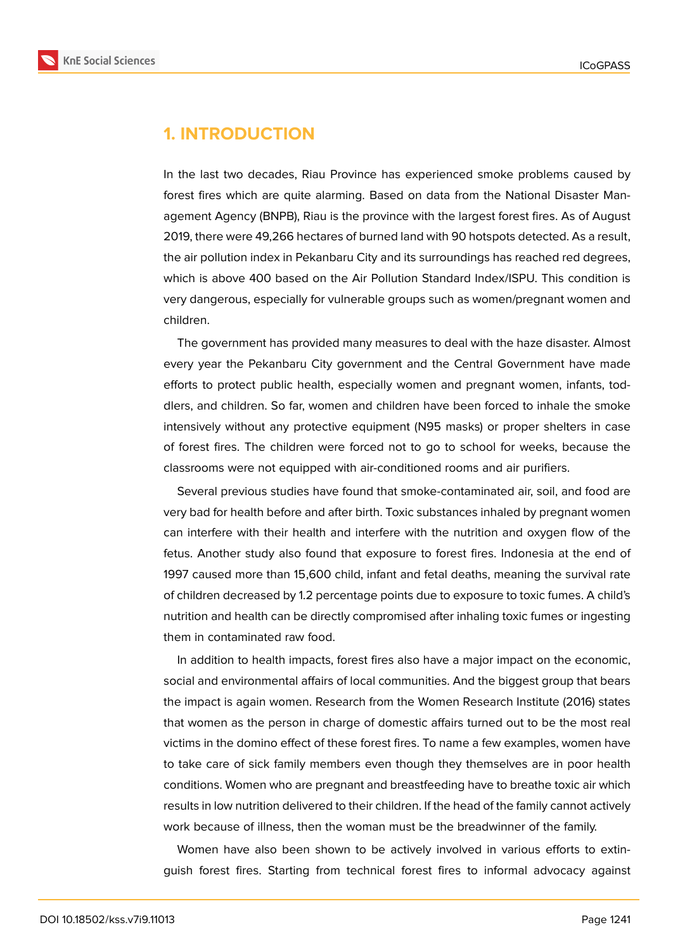

## **1. INTRODUCTION**

In the last two decades, Riau Province has experienced smoke problems caused by forest fires which are quite alarming. Based on data from the National Disaster Management Agency (BNPB), Riau is the province with the largest forest fires. As of August 2019, there were 49,266 hectares of burned land with 90 hotspots detected. As a result, the air pollution index in Pekanbaru City and its surroundings has reached red degrees, which is above 400 based on the Air Pollution Standard Index/ISPU. This condition is very dangerous, especially for vulnerable groups such as women/pregnant women and children.

The government has provided many measures to deal with the haze disaster. Almost every year the Pekanbaru City government and the Central Government have made efforts to protect public health, especially women and pregnant women, infants, toddlers, and children. So far, women and children have been forced to inhale the smoke intensively without any protective equipment (N95 masks) or proper shelters in case of forest fires. The children were forced not to go to school for weeks, because the classrooms were not equipped with air-conditioned rooms and air purifiers.

Several previous studies have found that smoke-contaminated air, soil, and food are very bad for health before and after birth. Toxic substances inhaled by pregnant women can interfere with their health and interfere with the nutrition and oxygen flow of the fetus. Another study also found that exposure to forest fires. Indonesia at the end of 1997 caused more than 15,600 child, infant and fetal deaths, meaning the survival rate of children decreased by 1.2 percentage points due to exposure to toxic fumes. A child's nutrition and health can be directly compromised after inhaling toxic fumes or ingesting them in contaminated raw food.

In addition to health impacts, forest fires also have a major impact on the economic, social and environmental affairs of local communities. And the biggest group that bears the impact is again women. Research from the Women Research Institute (2016) states that women as the person in charge of domestic affairs turned out to be the most real victims in the domino effect of these forest fires. To name a few examples, women have to take care of sick family members even though they themselves are in poor health conditions. Women who are pregnant and breastfeeding have to breathe toxic air which results in low nutrition delivered to their children. If the head of the family cannot actively work because of illness, then the woman must be the breadwinner of the family.

Women have also been shown to be actively involved in various efforts to extinguish forest fires. Starting from technical forest fires to informal advocacy against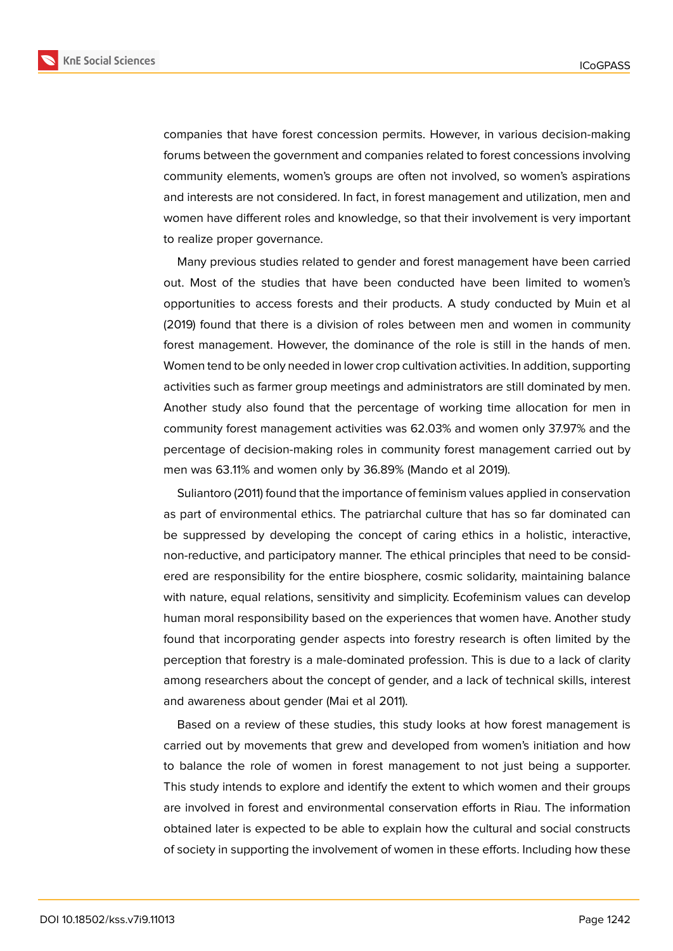

companies that have forest concession permits. However, in various decision-making forums between the government and companies related to forest concessions involving community elements, women's groups are often not involved, so women's aspirations and interests are not considered. In fact, in forest management and utilization, men and women have different roles and knowledge, so that their involvement is very important to realize proper governance.

Many previous studies related to gender and forest management have been carried out. Most of the studies that have been conducted have been limited to women's opportunities to access forests and their products. A study conducted by Muin et al (2019) found that there is a division of roles between men and women in community forest management. However, the dominance of the role is still in the hands of men. Women tend to be only needed in lower crop cultivation activities. In addition, supporting activities such as farmer group meetings and administrators are still dominated by men. Another study also found that the percentage of working time allocation for men in community forest management activities was 62.03% and women only 37.97% and the percentage of decision-making roles in community forest management carried out by men was 63.11% and women only by 36.89% (Mando et al 2019).

Suliantoro (2011) found that the importance of feminism values applied in conservation as part of environmental ethics. The patriarchal culture that has so far dominated can be suppressed by developing the concept of caring ethics in a holistic, interactive, non-reductive, and participatory manner. The ethical principles that need to be considered are responsibility for the entire biosphere, cosmic solidarity, maintaining balance with nature, equal relations, sensitivity and simplicity. Ecofeminism values can develop human moral responsibility based on the experiences that women have. Another study found that incorporating gender aspects into forestry research is often limited by the perception that forestry is a male-dominated profession. This is due to a lack of clarity among researchers about the concept of gender, and a lack of technical skills, interest and awareness about gender (Mai et al 2011).

Based on a review of these studies, this study looks at how forest management is carried out by movements that grew and developed from women's initiation and how to balance the role of women in forest management to not just being a supporter. This study intends to explore and identify the extent to which women and their groups are involved in forest and environmental conservation efforts in Riau. The information obtained later is expected to be able to explain how the cultural and social constructs of society in supporting the involvement of women in these efforts. Including how these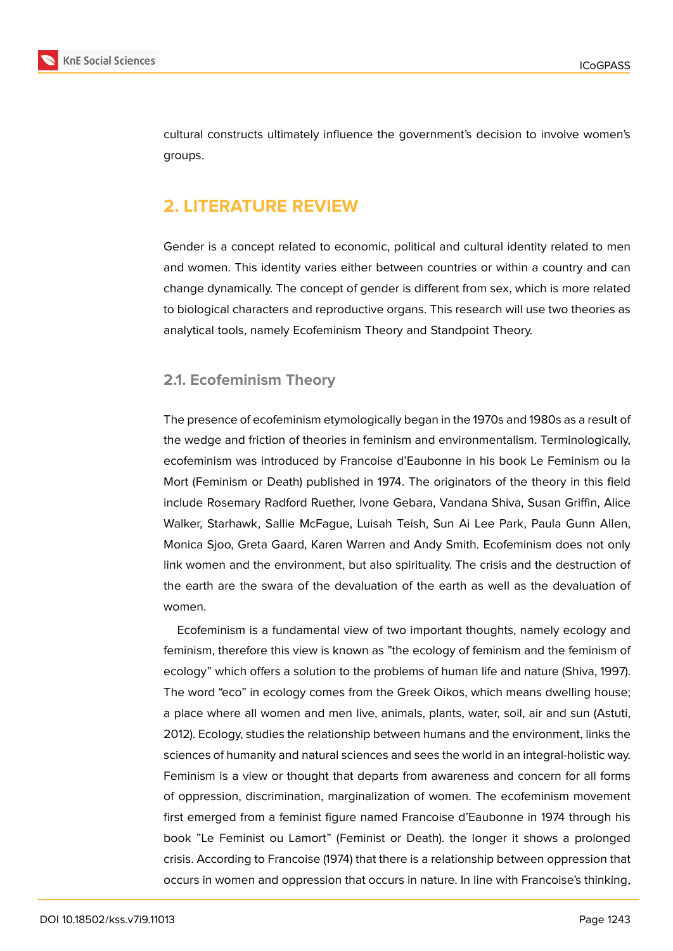

cultural constructs ultimately influence the government's decision to involve women's groups.

# **2. LITERATURE REVIEW**

Gender is a concept related to economic, political and cultural identity related to men and women. This identity varies either between countries or within a country and can change dynamically. The concept of gender is different from sex, which is more related to biological characters and reproductive organs. This research will use two theories as analytical tools, namely Ecofeminism Theory and Standpoint Theory.

#### **2.1. Ecofeminism Theory**

The presence of ecofeminism etymologically began in the 1970s and 1980s as a result of the wedge and friction of theories in feminism and environmentalism. Terminologically, ecofeminism was introduced by Francoise d'Eaubonne in his book Le Feminism ou la Mort (Feminism or Death) published in 1974. The originators of the theory in this field include Rosemary Radford Ruether, Ivone Gebara, Vandana Shiva, Susan Griffin, Alice Walker, Starhawk, Sallie McFague, Luisah Teish, Sun Ai Lee Park, Paula Gunn Allen, Monica Sjoo, Greta Gaard, Karen Warren and Andy Smith. Ecofeminism does not only link women and the environment, but also spirituality. The crisis and the destruction of the earth are the swara of the devaluation of the earth as well as the devaluation of women.

Ecofeminism is a fundamental view of two important thoughts, namely ecology and feminism, therefore this view is known as "the ecology of feminism and the feminism of ecology" which offers a solution to the problems of human life and nature (Shiva, 1997). The word "eco" in ecology comes from the Greek Oikos, which means dwelling house; a place where all women and men live, animals, plants, water, soil, air and sun (Astuti, 2012). Ecology, studies the relationship between humans and the environment, links the sciences of humanity and natural sciences and sees the world in an integral-holistic way. Feminism is a view or thought that departs from awareness and concern for all forms of oppression, discrimination, marginalization of women. The ecofeminism movement first emerged from a feminist figure named Francoise d'Eaubonne in 1974 through his book "Le Feminist ou Lamort" (Feminist or Death). the longer it shows a prolonged crisis. According to Francoise (1974) that there is a relationship between oppression that occurs in women and oppression that occurs in nature. In line with Francoise's thinking,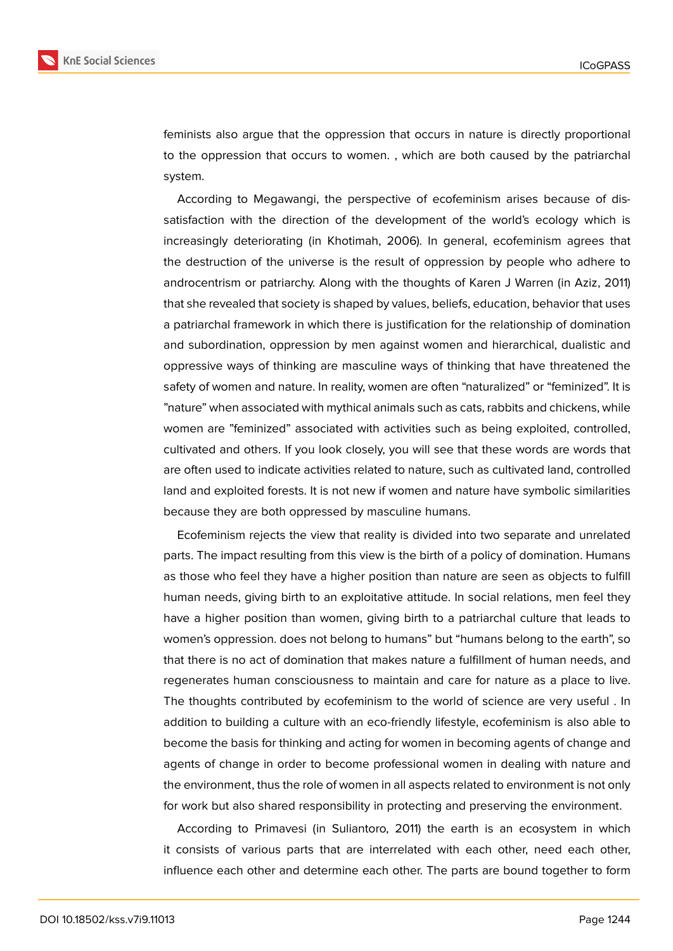

feminists also argue that the oppression that occurs in nature is directly proportional to the oppression that occurs to women. , which are both caused by the patriarchal system.

According to Megawangi, the perspective of ecofeminism arises because of dissatisfaction with the direction of the development of the world's ecology which is increasingly deteriorating (in Khotimah, 2006). In general, ecofeminism agrees that the destruction of the universe is the result of oppression by people who adhere to androcentrism or patriarchy. Along with the thoughts of Karen J Warren (in Aziz, 2011) that she revealed that society is shaped by values, beliefs, education, behavior that uses a patriarchal framework in which there is justification for the relationship of domination and subordination, oppression by men against women and hierarchical, dualistic and oppressive ways of thinking are masculine ways of thinking that have threatened the safety of women and nature. In reality, women are often "naturalized" or "feminized". It is "nature" when associated with mythical animals such as cats, rabbits and chickens, while women are "feminized" associated with activities such as being exploited, controlled, cultivated and others. If you look closely, you will see that these words are words that are often used to indicate activities related to nature, such as cultivated land, controlled land and exploited forests. It is not new if women and nature have symbolic similarities because they are both oppressed by masculine humans.

Ecofeminism rejects the view that reality is divided into two separate and unrelated parts. The impact resulting from this view is the birth of a policy of domination. Humans as those who feel they have a higher position than nature are seen as objects to fulfill human needs, giving birth to an exploitative attitude. In social relations, men feel they have a higher position than women, giving birth to a patriarchal culture that leads to women's oppression. does not belong to humans" but "humans belong to the earth", so that there is no act of domination that makes nature a fulfillment of human needs, and regenerates human consciousness to maintain and care for nature as a place to live. The thoughts contributed by ecofeminism to the world of science are very useful . In addition to building a culture with an eco-friendly lifestyle, ecofeminism is also able to become the basis for thinking and acting for women in becoming agents of change and agents of change in order to become professional women in dealing with nature and the environment, thus the role of women in all aspects related to environment is not only for work but also shared responsibility in protecting and preserving the environment.

According to Primavesi (in Suliantoro, 2011) the earth is an ecosystem in which it consists of various parts that are interrelated with each other, need each other, influence each other and determine each other. The parts are bound together to form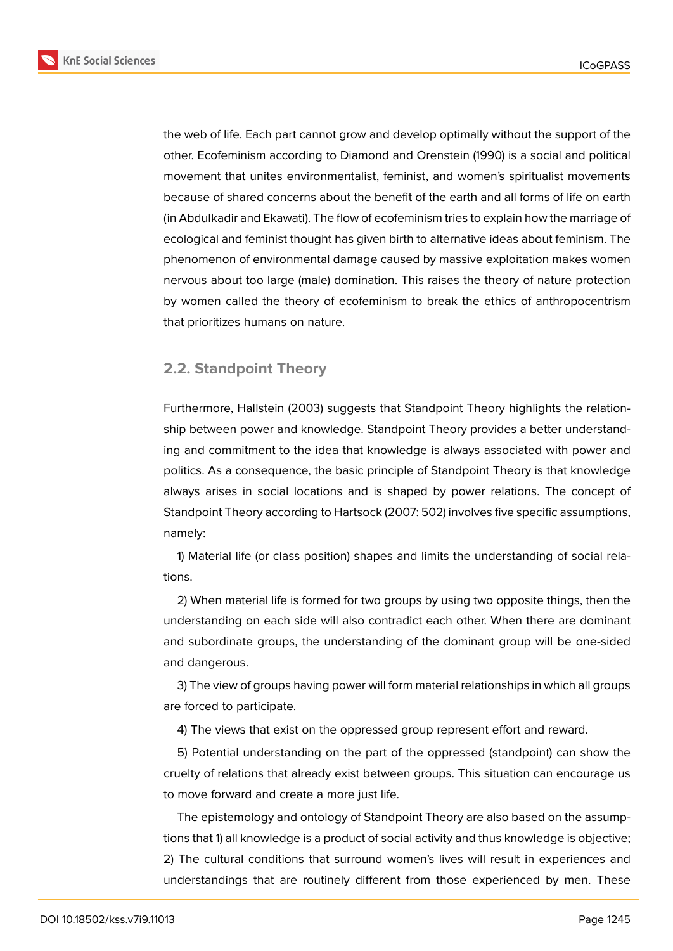

the web of life. Each part cannot grow and develop optimally without the support of the other. Ecofeminism according to Diamond and Orenstein (1990) is a social and political movement that unites environmentalist, feminist, and women's spiritualist movements because of shared concerns about the benefit of the earth and all forms of life on earth (in Abdulkadir and Ekawati). The flow of ecofeminism tries to explain how the marriage of ecological and feminist thought has given birth to alternative ideas about feminism. The phenomenon of environmental damage caused by massive exploitation makes women nervous about too large (male) domination. This raises the theory of nature protection by women called the theory of ecofeminism to break the ethics of anthropocentrism that prioritizes humans on nature.

#### **2.2. Standpoint Theory**

Furthermore, Hallstein (2003) suggests that Standpoint Theory highlights the relationship between power and knowledge. Standpoint Theory provides a better understanding and commitment to the idea that knowledge is always associated with power and politics. As a consequence, the basic principle of Standpoint Theory is that knowledge always arises in social locations and is shaped by power relations. The concept of Standpoint Theory according to Hartsock (2007: 502) involves five specific assumptions, namely:

1) Material life (or class position) shapes and limits the understanding of social relations.

2) When material life is formed for two groups by using two opposite things, then the understanding on each side will also contradict each other. When there are dominant and subordinate groups, the understanding of the dominant group will be one-sided and dangerous.

3) The view of groups having power will form material relationships in which all groups are forced to participate.

4) The views that exist on the oppressed group represent effort and reward.

5) Potential understanding on the part of the oppressed (standpoint) can show the cruelty of relations that already exist between groups. This situation can encourage us to move forward and create a more just life.

The epistemology and ontology of Standpoint Theory are also based on the assumptions that 1) all knowledge is a product of social activity and thus knowledge is objective; 2) The cultural conditions that surround women's lives will result in experiences and understandings that are routinely different from those experienced by men. These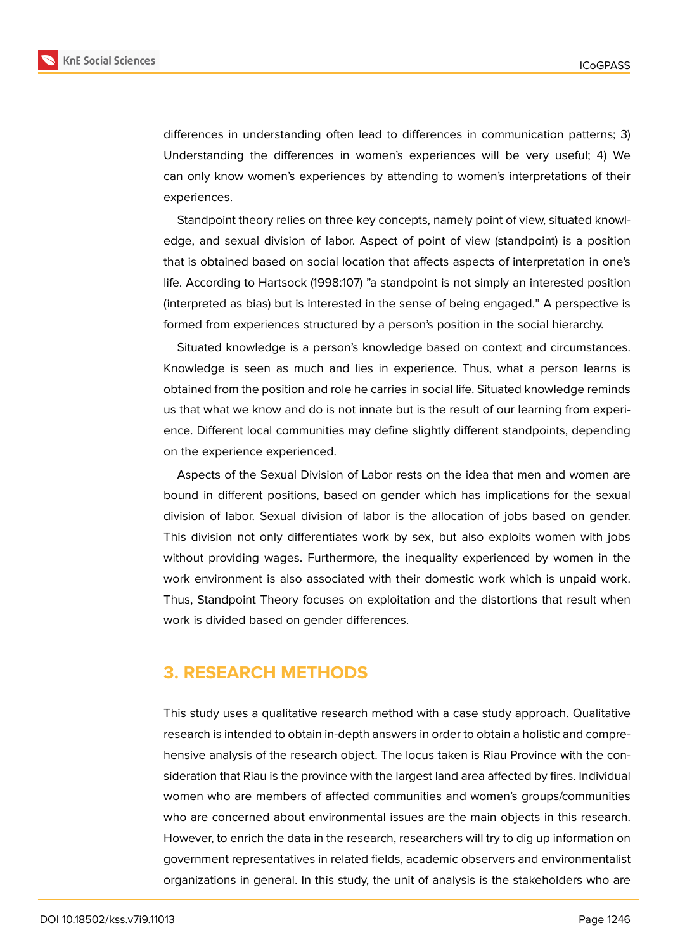

differences in understanding often lead to differences in communication patterns; 3) Understanding the differences in women's experiences will be very useful; 4) We can only know women's experiences by attending to women's interpretations of their experiences.

Standpoint theory relies on three key concepts, namely point of view, situated knowledge, and sexual division of labor. Aspect of point of view (standpoint) is a position that is obtained based on social location that affects aspects of interpretation in one's life. According to Hartsock (1998:107) "a standpoint is not simply an interested position (interpreted as bias) but is interested in the sense of being engaged." A perspective is formed from experiences structured by a person's position in the social hierarchy.

Situated knowledge is a person's knowledge based on context and circumstances. Knowledge is seen as much and lies in experience. Thus, what a person learns is obtained from the position and role he carries in social life. Situated knowledge reminds us that what we know and do is not innate but is the result of our learning from experience. Different local communities may define slightly different standpoints, depending on the experience experienced.

Aspects of the Sexual Division of Labor rests on the idea that men and women are bound in different positions, based on gender which has implications for the sexual division of labor. Sexual division of labor is the allocation of jobs based on gender. This division not only differentiates work by sex, but also exploits women with jobs without providing wages. Furthermore, the inequality experienced by women in the work environment is also associated with their domestic work which is unpaid work. Thus, Standpoint Theory focuses on exploitation and the distortions that result when work is divided based on gender differences.

### **3. RESEARCH METHODS**

This study uses a qualitative research method with a case study approach. Qualitative research is intended to obtain in-depth answers in order to obtain a holistic and comprehensive analysis of the research object. The locus taken is Riau Province with the consideration that Riau is the province with the largest land area affected by fires. Individual women who are members of affected communities and women's groups/communities who are concerned about environmental issues are the main objects in this research. However, to enrich the data in the research, researchers will try to dig up information on government representatives in related fields, academic observers and environmentalist organizations in general. In this study, the unit of analysis is the stakeholders who are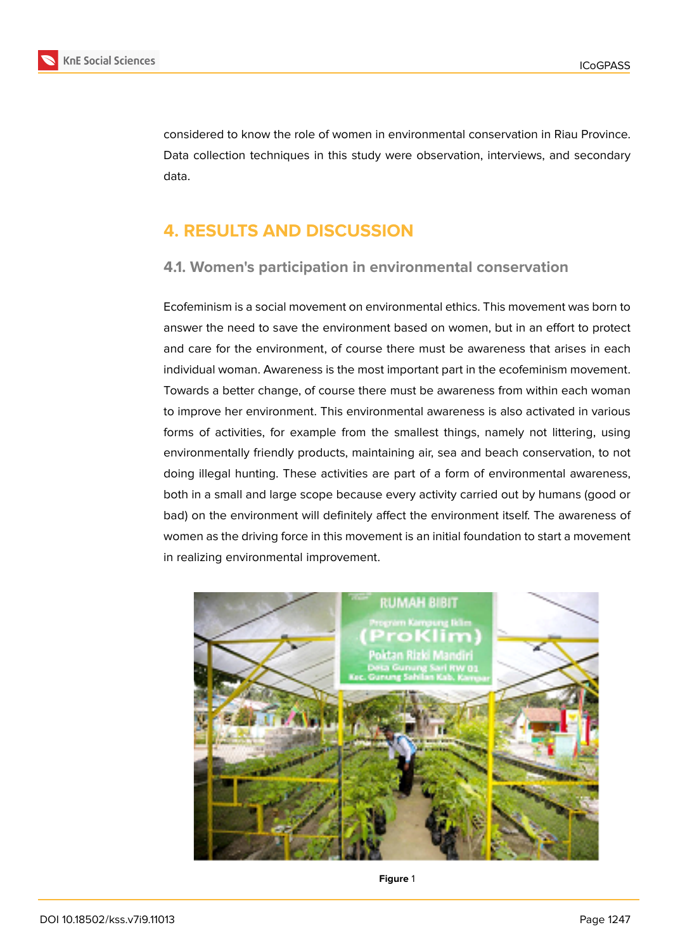

considered to know the role of women in environmental conservation in Riau Province. Data collection techniques in this study were observation, interviews, and secondary data.

# **4. RESULTS AND DISCUSSION**

### **4.1. Women's participation in environmental conservation**

Ecofeminism is a social movement on environmental ethics. This movement was born to answer the need to save the environment based on women, but in an effort to protect and care for the environment, of course there must be awareness that arises in each individual woman. Awareness is the most important part in the ecofeminism movement. Towards a better change, of course there must be awareness from within each woman to improve her environment. This environmental awareness is also activated in various forms of activities, for example from the smallest things, namely not littering, using environmentally friendly products, maintaining air, sea and beach conservation, to not doing illegal hunting. These activities are part of a form of environmental awareness, both in a small and large scope because every activity carried out by humans (good or bad) on the environment will definitely affect the environment itself. The awareness of women as the driving force in this movement is an initial foundation to start a movement in realizing environmental improvement.



**Figure** 1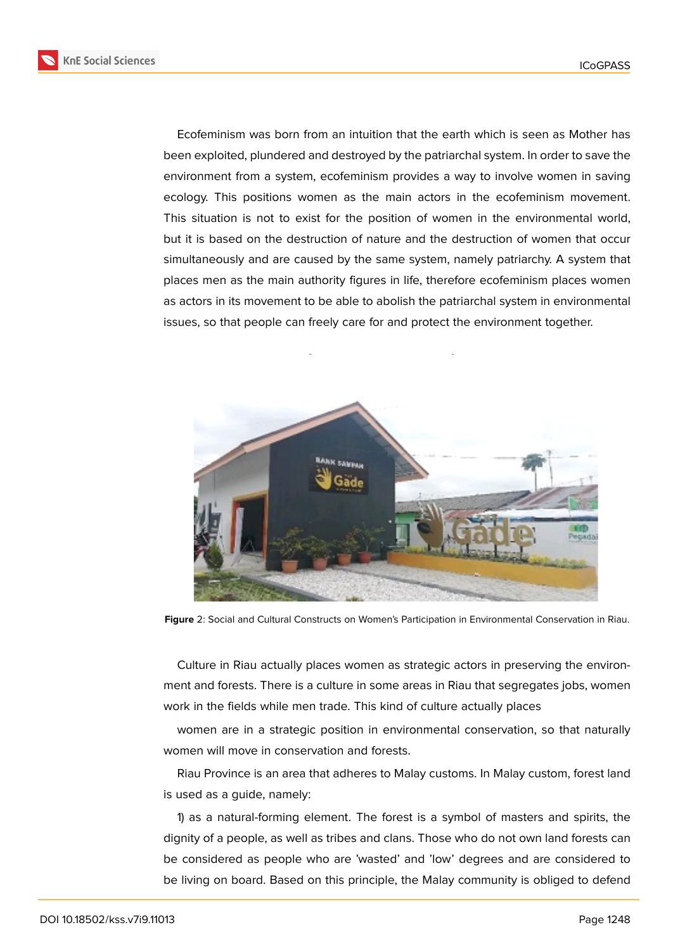Ecofeminism was born from an intuition that the earth which is seen as Mother has been exploited, plundered and destroyed by the patriarchal system. In order to save the environment from a system, ecofeminism provides a way to involve women in saving ecology. This positions women as the main actors in the ecofeminism movement. This situation is not to exist for the position of women in the environmental world, but it is based on the destruction of nature and the destruction of women that occur simultaneously and are caused by the same system, namely patriarchy. A system that places men as the main authority figures in life, therefore ecofeminism places women as actors in its movement to be able to abolish the patriarchal system in environmental issues, so that people can freely care for and protect the environment together.



**Figure** 2: Social and Cultural Constructs on Women's Participation in Environmental Conservation in Riau.

Culture in Riau actually places women as strategic actors in preserving the environment and forests. There is a culture in some areas in Riau that segregates jobs, women work in the fields while men trade. This kind of culture actually places

women are in a strategic position in environmental conservation, so that naturally women will move in conservation and forests.

Riau Province is an area that adheres to Malay customs. In Malay custom, forest land is used as a guide, namely:

1) as a natural-forming element. The forest is a symbol of masters and spirits, the dignity of a people, as well as tribes and clans. Those who do not own land forests can be considered as people who are 'wasted' and 'low' degrees and are considered to be living on board. Based on this principle, the Malay community is obliged to defend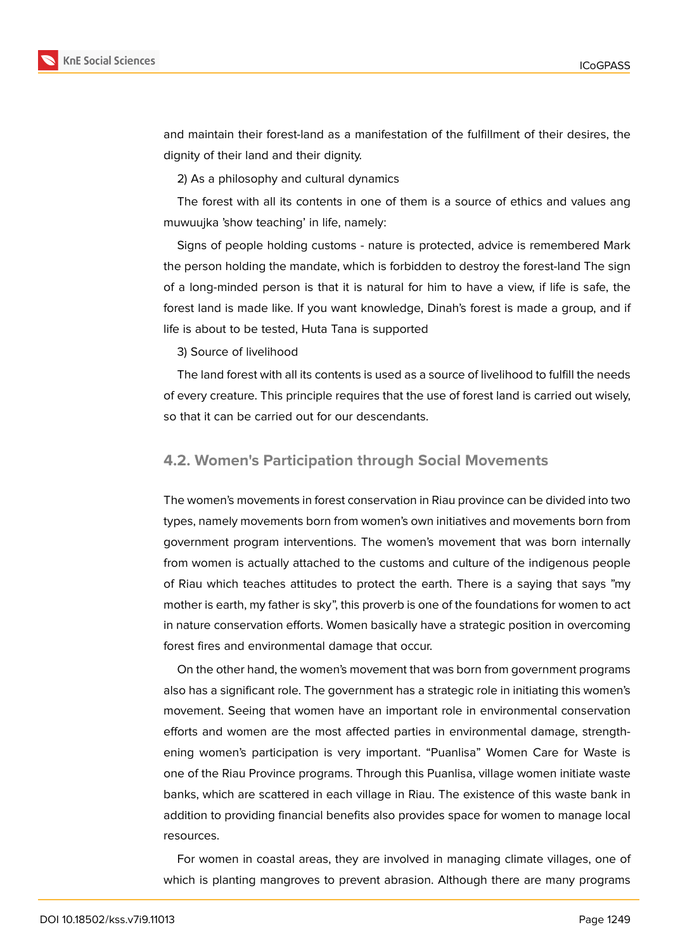

and maintain their forest-land as a manifestation of the fulfillment of their desires, the dignity of their land and their dignity.

2) As a philosophy and cultural dynamics

The forest with all its contents in one of them is a source of ethics and values ang muwuujka 'show teaching' in life, namely:

Signs of people holding customs - nature is protected, advice is remembered Mark the person holding the mandate, which is forbidden to destroy the forest-land The sign of a long-minded person is that it is natural for him to have a view, if life is safe, the forest land is made like. If you want knowledge, Dinah's forest is made a group, and if life is about to be tested, Huta Tana is supported

3) Source of livelihood

The land forest with all its contents is used as a source of livelihood to fulfill the needs of every creature. This principle requires that the use of forest land is carried out wisely, so that it can be carried out for our descendants.

#### **4.2. Women's Participation through Social Movements**

The women's movements in forest conservation in Riau province can be divided into two types, namely movements born from women's own initiatives and movements born from government program interventions. The women's movement that was born internally from women is actually attached to the customs and culture of the indigenous people of Riau which teaches attitudes to protect the earth. There is a saying that says "my mother is earth, my father is sky", this proverb is one of the foundations for women to act in nature conservation efforts. Women basically have a strategic position in overcoming forest fires and environmental damage that occur.

On the other hand, the women's movement that was born from government programs also has a significant role. The government has a strategic role in initiating this women's movement. Seeing that women have an important role in environmental conservation efforts and women are the most affected parties in environmental damage, strengthening women's participation is very important. "Puanlisa" Women Care for Waste is one of the Riau Province programs. Through this Puanlisa, village women initiate waste banks, which are scattered in each village in Riau. The existence of this waste bank in addition to providing financial benefits also provides space for women to manage local resources.

For women in coastal areas, they are involved in managing climate villages, one of which is planting mangroves to prevent abrasion. Although there are many programs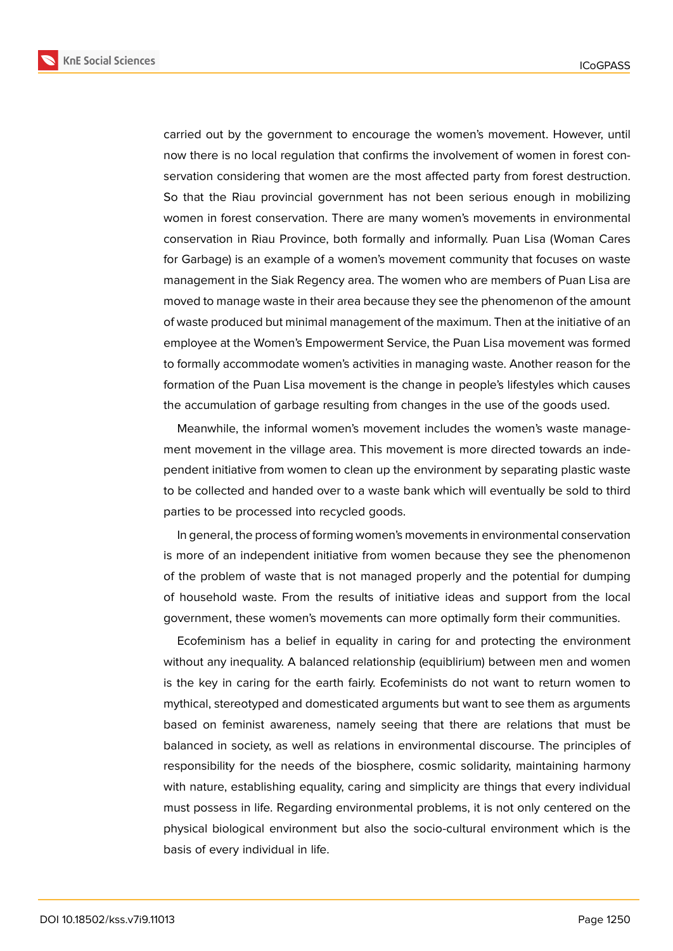

carried out by the government to encourage the women's movement. However, until

now there is no local regulation that confirms the involvement of women in forest conservation considering that women are the most affected party from forest destruction. So that the Riau provincial government has not been serious enough in mobilizing women in forest conservation. There are many women's movements in environmental conservation in Riau Province, both formally and informally. Puan Lisa (Woman Cares for Garbage) is an example of a women's movement community that focuses on waste management in the Siak Regency area. The women who are members of Puan Lisa are moved to manage waste in their area because they see the phenomenon of the amount of waste produced but minimal management of the maximum. Then at the initiative of an employee at the Women's Empowerment Service, the Puan Lisa movement was formed to formally accommodate women's activities in managing waste. Another reason for the formation of the Puan Lisa movement is the change in people's lifestyles which causes the accumulation of garbage resulting from changes in the use of the goods used.

Meanwhile, the informal women's movement includes the women's waste management movement in the village area. This movement is more directed towards an independent initiative from women to clean up the environment by separating plastic waste to be collected and handed over to a waste bank which will eventually be sold to third parties to be processed into recycled goods.

In general, the process of forming women's movements in environmental conservation is more of an independent initiative from women because they see the phenomenon of the problem of waste that is not managed properly and the potential for dumping of household waste. From the results of initiative ideas and support from the local government, these women's movements can more optimally form their communities.

Ecofeminism has a belief in equality in caring for and protecting the environment without any inequality. A balanced relationship (equiblirium) between men and women is the key in caring for the earth fairly. Ecofeminists do not want to return women to mythical, stereotyped and domesticated arguments but want to see them as arguments based on feminist awareness, namely seeing that there are relations that must be balanced in society, as well as relations in environmental discourse. The principles of responsibility for the needs of the biosphere, cosmic solidarity, maintaining harmony with nature, establishing equality, caring and simplicity are things that every individual must possess in life. Regarding environmental problems, it is not only centered on the physical biological environment but also the socio-cultural environment which is the basis of every individual in life.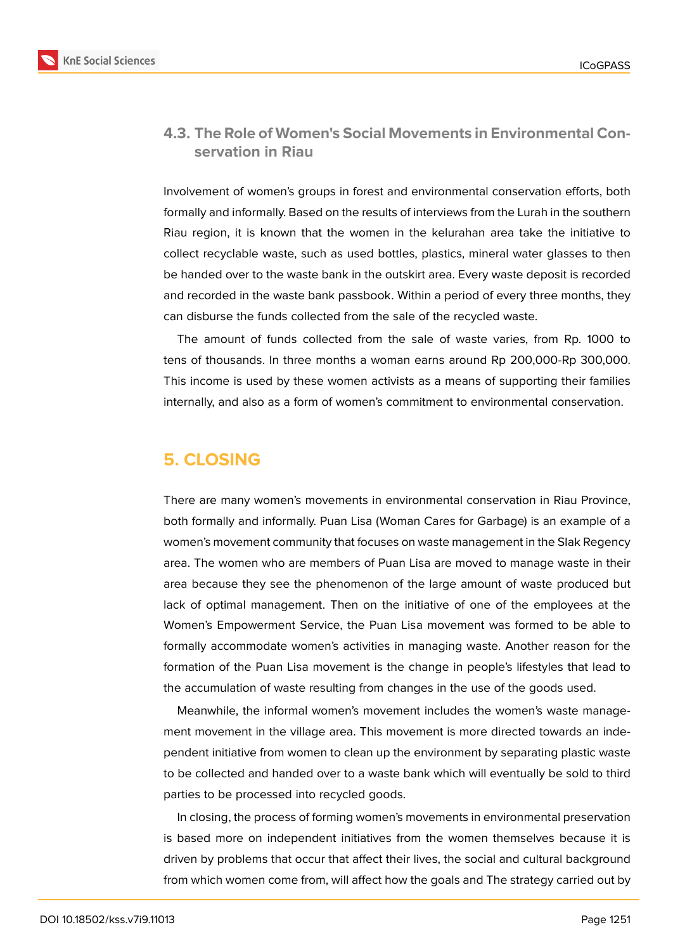

#### **4.3. The Role of Women's Social Movements in Environmental Conservation in Riau**

Involvement of women's groups in forest and environmental conservation efforts, both formally and informally. Based on the results of interviews from the Lurah in the southern Riau region, it is known that the women in the kelurahan area take the initiative to collect recyclable waste, such as used bottles, plastics, mineral water glasses to then be handed over to the waste bank in the outskirt area. Every waste deposit is recorded and recorded in the waste bank passbook. Within a period of every three months, they can disburse the funds collected from the sale of the recycled waste.

The amount of funds collected from the sale of waste varies, from Rp. 1000 to tens of thousands. In three months a woman earns around Rp 200,000-Rp 300,000. This income is used by these women activists as a means of supporting their families internally, and also as a form of women's commitment to environmental conservation.

### **5. CLOSING**

There are many women's movements in environmental conservation in Riau Province, both formally and informally. Puan Lisa (Woman Cares for Garbage) is an example of a women's movement community that focuses on waste management in the SIak Regency area. The women who are members of Puan Lisa are moved to manage waste in their area because they see the phenomenon of the large amount of waste produced but lack of optimal management. Then on the initiative of one of the employees at the Women's Empowerment Service, the Puan Lisa movement was formed to be able to formally accommodate women's activities in managing waste. Another reason for the formation of the Puan Lisa movement is the change in people's lifestyles that lead to the accumulation of waste resulting from changes in the use of the goods used.

Meanwhile, the informal women's movement includes the women's waste management movement in the village area. This movement is more directed towards an independent initiative from women to clean up the environment by separating plastic waste to be collected and handed over to a waste bank which will eventually be sold to third parties to be processed into recycled goods.

In closing, the process of forming women's movements in environmental preservation is based more on independent initiatives from the women themselves because it is driven by problems that occur that affect their lives, the social and cultural background from which women come from, will affect how the goals and The strategy carried out by